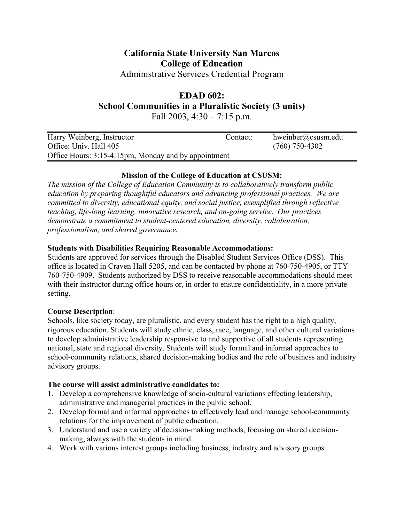# **California State University San Marcos College of Education**

Administrative Services Credential Program

# **EDAD 602:**

**School Communities in a Pluralistic Society (3 units)** 

Fall 2003,  $4:30 - 7:15$  p.m.

| Harry Weinberg, Instructor                           | Contact: | hweinber@csusm.edu |  |
|------------------------------------------------------|----------|--------------------|--|
| Office: Univ. Hall 405                               |          | $(760)$ 750-4302   |  |
| Office Hours: 3:15-4:15pm, Monday and by appointment |          |                    |  |

# **Mission of the College of Education at CSUSM:**

*The mission of the College of Education Community is to collaboratively transform public education by preparing thoughtful educators and advancing professional practices. We are committed to diversity, educational equity, and social justice, exemplified through reflective teaching, life-long learning, innovative research, and on-going service. Our practices demonstrate a commitment to student-centered education, diversity, collaboration, professionalism, and shared governance.* 

# **Students with Disabilities Requiring Reasonable Accommodations:**

Students are approved for services through the Disabled Student Services Office (DSS). This office is located in Craven Hall 5205, and can be contacted by phone at 760-750-4905, or TTY 760-750-4909. Students authorized by DSS to receive reasonable accommodations should meet with their instructor during office hours or, in order to ensure confidentiality, in a more private setting.

# **Course Description**:

Schools, like society today, are pluralistic, and every student has the right to a high quality, rigorous education. Students will study ethnic, class, race, language, and other cultural variations to develop administrative leadership responsive to and supportive of all students representing national, state and regional diversity. Students will study formal and informal approaches to school-community relations, shared decision-making bodies and the role of business and industry advisory groups.

# **The course will assist administrative candidates to:**

- 1. Develop a comprehensive knowledge of socio-cultural variations effecting leadership, administrative and managerial practices in the public school.
- 2. Develop formal and informal approaches to effectively lead and manage school-community relations for the improvement of public education.
- 3. Understand and use a variety of decision-making methods, focusing on shared decisionmaking, always with the students in mind.
- 4. Work with various interest groups including business, industry and advisory groups.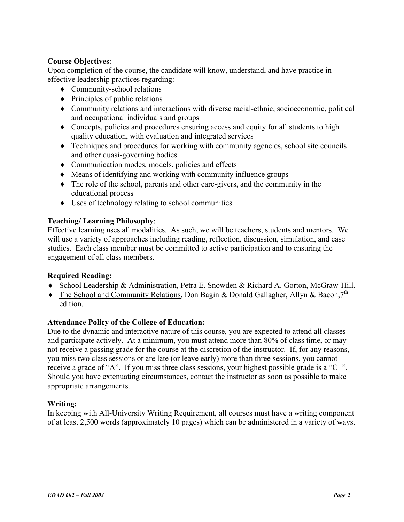#### **Course Objectives**:

Upon completion of the course, the candidate will know, understand, and have practice in effective leadership practices regarding:

- ♦ Community-school relations
- $\bullet$  Principles of public relations
- ♦ Community relations and interactions with diverse racial-ethnic, socioeconomic, political and occupational individuals and groups
- ♦ Concepts, policies and procedures ensuring access and equity for all students to high quality education, with evaluation and integrated services
- ♦ Techniques and procedures for working with community agencies, school site councils and other quasi-governing bodies
- ♦ Communication modes, models, policies and effects
- ♦ Means of identifying and working with community influence groups
- ♦ The role of the school, parents and other care-givers, and the community in the educational process
- ♦ Uses of technology relating to school communities

### **Teaching/ Learning Philosophy**:

Effective learning uses all modalities. As such, we will be teachers, students and mentors. We will use a variety of approaches including reading, reflection, discussion, simulation, and case studies. Each class member must be committed to active participation and to ensuring the engagement of all class members.

#### **Required Reading:**

- ♦ School Leadership & Administration, Petra E. Snowden & Richard A. Gorton, McGraw-Hill.
- $\blacklozenge$  The School and Community Relations, Don Bagin & Donald Gallagher, Allyn & Bacon, 7<sup>th</sup> edition.

#### **Attendance Policy of the College of Education:**

Due to the dynamic and interactive nature of this course, you are expected to attend all classes and participate actively. At a minimum, you must attend more than 80% of class time, or may not receive a passing grade for the course at the discretion of the instructor. If, for any reasons, you miss two class sessions or are late (or leave early) more than three sessions, you cannot receive a grade of "A". If you miss three class sessions, your highest possible grade is a "C+". Should you have extenuating circumstances, contact the instructor as soon as possible to make appropriate arrangements.

#### **Writing:**

In keeping with All-University Writing Requirement, all courses must have a writing component of at least 2,500 words (approximately 10 pages) which can be administered in a variety of ways.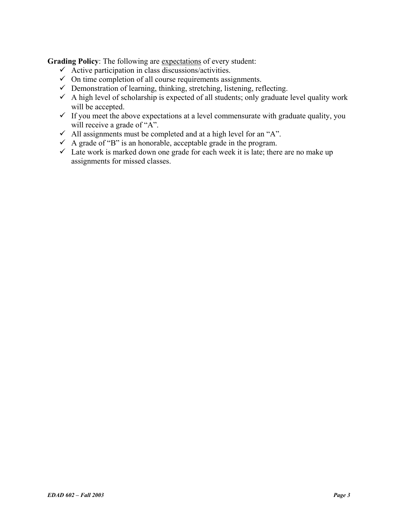**Grading Policy**: The following are expectations of every student:

- $\checkmark$  Active participation in class discussions/activities.
- $\checkmark$  On time completion of all course requirements assignments.
- $\checkmark$  Demonstration of learning, thinking, stretching, listening, reflecting.
- $\checkmark$  A high level of scholarship is expected of all students; only graduate level quality work will be accepted.
- $\checkmark$  If you meet the above expectations at a level commensurate with graduate quality, you will receive a grade of "A".
- $\checkmark$  All assignments must be completed and at a high level for an "A".
- $\checkmark$  A grade of "B" is an honorable, acceptable grade in the program.
- $\checkmark$  Late work is marked down one grade for each week it is late; there are no make up assignments for missed classes.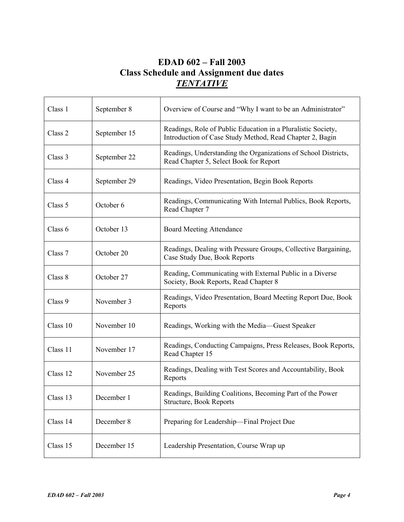# **EDAD 602 – Fall 2003 Class Schedule and Assignment due dates**  *TENTATIVE*

| Class 1  | September 8  | Overview of Course and "Why I want to be an Administrator"                                                               |  |
|----------|--------------|--------------------------------------------------------------------------------------------------------------------------|--|
| Class 2  | September 15 | Readings, Role of Public Education in a Pluralistic Society,<br>Introduction of Case Study Method, Read Chapter 2, Bagin |  |
| Class 3  | September 22 | Readings, Understanding the Organizations of School Districts,<br>Read Chapter 5, Select Book for Report                 |  |
| Class 4  | September 29 | Readings, Video Presentation, Begin Book Reports                                                                         |  |
| Class 5  | October 6    | Readings, Communicating With Internal Publics, Book Reports,<br>Read Chapter 7                                           |  |
| Class 6  | October 13   | <b>Board Meeting Attendance</b>                                                                                          |  |
| Class 7  | October 20   | Readings, Dealing with Pressure Groups, Collective Bargaining,<br>Case Study Due, Book Reports                           |  |
| Class 8  | October 27   | Reading, Communicating with External Public in a Diverse<br>Society, Book Reports, Read Chapter 8                        |  |
| Class 9  | November 3   | Readings, Video Presentation, Board Meeting Report Due, Book<br>Reports                                                  |  |
| Class 10 | November 10  | Readings, Working with the Media—Guest Speaker                                                                           |  |
| Class 11 | November 17  | Readings, Conducting Campaigns, Press Releases, Book Reports,<br>Read Chapter 15                                         |  |
| Class 12 | November 25  | Readings, Dealing with Test Scores and Accountability, Book<br>Reports                                                   |  |
| Class 13 | December 1   | Readings, Building Coalitions, Becoming Part of the Power<br>Structure, Book Reports                                     |  |
| Class 14 | December 8   | Preparing for Leadership-Final Project Due                                                                               |  |
| Class 15 | December 15  | Leadership Presentation, Course Wrap up                                                                                  |  |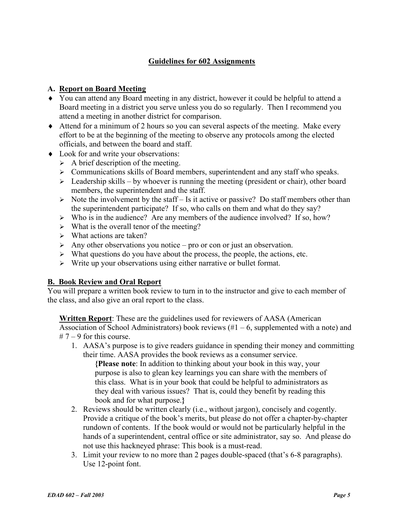### **Guidelines for 602 Assignments**

#### **A. Report on Board Meeting**

- ♦ You can attend any Board meeting in any district, however it could be helpful to attend a Board meeting in a district you serve unless you do so regularly. Then I recommend you attend a meeting in another district for comparison.
- ♦ Attend for a minimum of 2 hours so you can several aspects of the meeting. Make every effort to be at the beginning of the meeting to observe any protocols among the elected officials, and between the board and staff.
- ♦ Look for and write your observations:
	- $\triangleright$  A brief description of the meeting.
	- $\triangleright$  Communications skills of Board members, superintendent and any staff who speaks.
	- $\triangleright$  Leadership skills by whoever is running the meeting (president or chair), other board members, the superintendent and the staff.
	- $\triangleright$  Note the involvement by the staff Is it active or passive? Do staff members other than the superintendent participate? If so, who calls on them and what do they say?
	- $\triangleright$  Who is in the audience? Are any members of the audience involved? If so, how?
	- $\triangleright$  What is the overall tenor of the meeting?
	- $\triangleright$  What actions are taken?
	- $\triangleright$  Any other observations you notice pro or con or just an observation.
	- $\triangleright$  What questions do you have about the process, the people, the actions, etc.
	- $\triangleright$  Write up your observations using either narrative or bullet format.

#### **B. Book Review and Oral Report**

You will prepare a written book review to turn in to the instructor and give to each member of the class, and also give an oral report to the class.

**Written Report**: These are the guidelines used for reviewers of AASA (American Association of School Administrators) book reviews  $(\#1 - 6)$ , supplemented with a note) and  $# 7 - 9$  for this course.

1. AASA's purpose is to give readers guidance in spending their money and committing their time. AASA provides the book reviews as a consumer service.

**{Please note**: In addition to thinking about your book in this way, your purpose is also to glean key learnings you can share with the members of this class. What is in your book that could be helpful to administrators as they deal with various issues? That is, could they benefit by reading this book and for what purpose.**}**

- 2. Reviews should be written clearly (i.e., without jargon), concisely and cogently. Provide a critique of the book's merits, but please do not offer a chapter-by-chapter rundown of contents. If the book would or would not be particularly helpful in the hands of a superintendent, central office or site administrator, say so. And please do not use this hackneyed phrase: This book is a must-read.
- 3. Limit your review to no more than 2 pages double-spaced (that's 6-8 paragraphs). Use 12-point font.